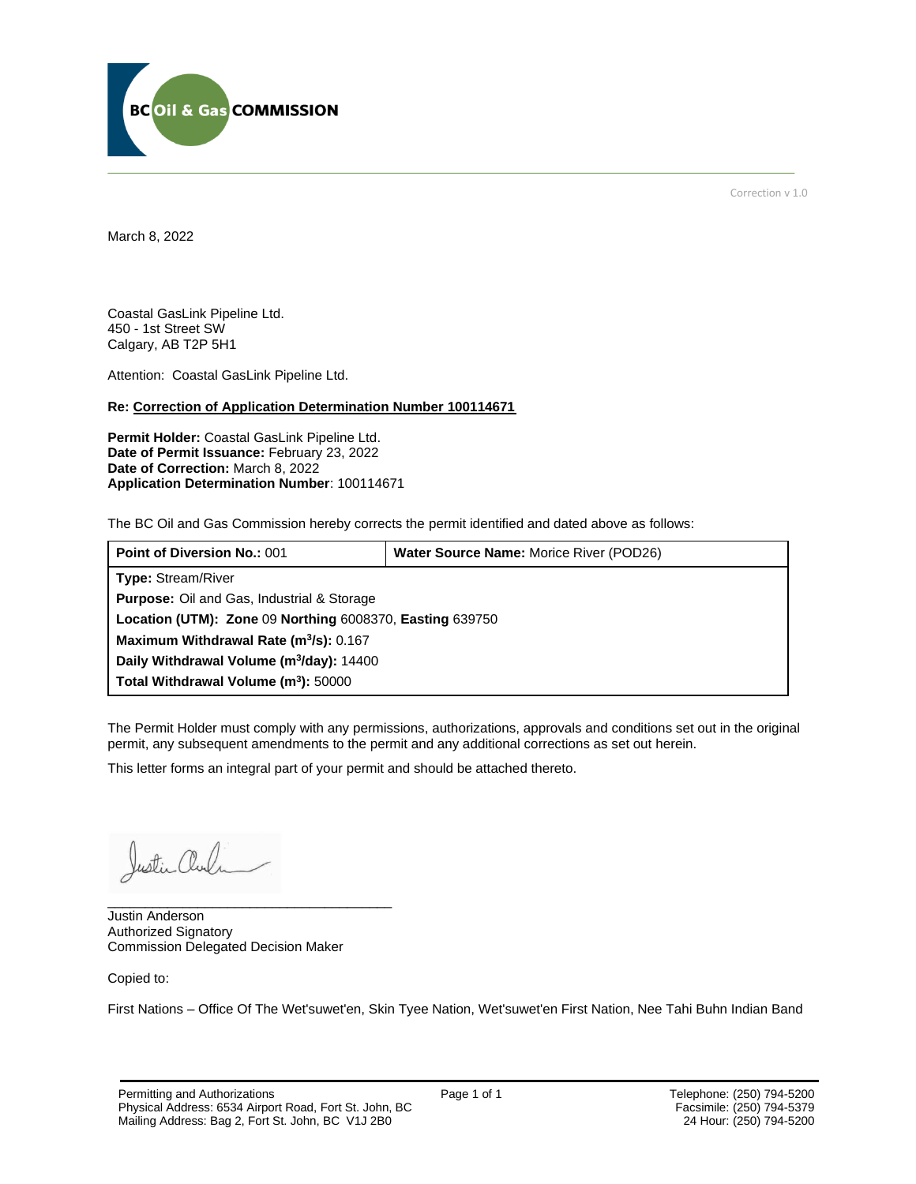

Correction v 1.0

March 8, 2022

Coastal GasLink Pipeline Ltd. 450 - 1st Street SW Calgary, AB T2P 5H1

Attention: Coastal GasLink Pipeline Ltd.

#### **Re: Correction of Application Determination Number 100114671**

**Permit Holder:** Coastal GasLink Pipeline Ltd. **Date of Permit Issuance:** February 23, 2022 **Date of Correction:** March 8, 2022 **Application Determination Number**: 100114671

The BC Oil and Gas Commission hereby corrects the permit identified and dated above as follows:

| <b>Point of Diversion No.: 001</b>                       | <b>Water Source Name: Morice River (POD26)</b> |
|----------------------------------------------------------|------------------------------------------------|
| <b>Type: Stream/River</b>                                |                                                |
| <b>Purpose:</b> Oil and Gas, Industrial & Storage        |                                                |
| Location (UTM): Zone 09 Northing 6008370, Easting 639750 |                                                |
| Maximum Withdrawal Rate (m <sup>3</sup> /s): 0.167       |                                                |
| Daily Withdrawal Volume (m <sup>3</sup> /day): 14400     |                                                |
| Total Withdrawal Volume (m <sup>3</sup> ): 50000         |                                                |

The Permit Holder must comply with any permissions, authorizations, approvals and conditions set out in the original permit, any subsequent amendments to the permit and any additional corrections as set out herein.

This letter forms an integral part of your permit and should be attached thereto.

Justin Cho

Justin Anderson Authorized Signatory Commission Delegated Decision Maker

\_\_\_\_\_\_\_\_\_\_\_\_\_\_\_\_\_\_\_\_\_\_\_\_\_\_\_\_\_\_\_\_\_\_\_\_\_\_

Copied to:

First Nations – Office Of The Wet'suwet'en, Skin Tyee Nation, Wet'suwet'en First Nation, Nee Tahi Buhn Indian Band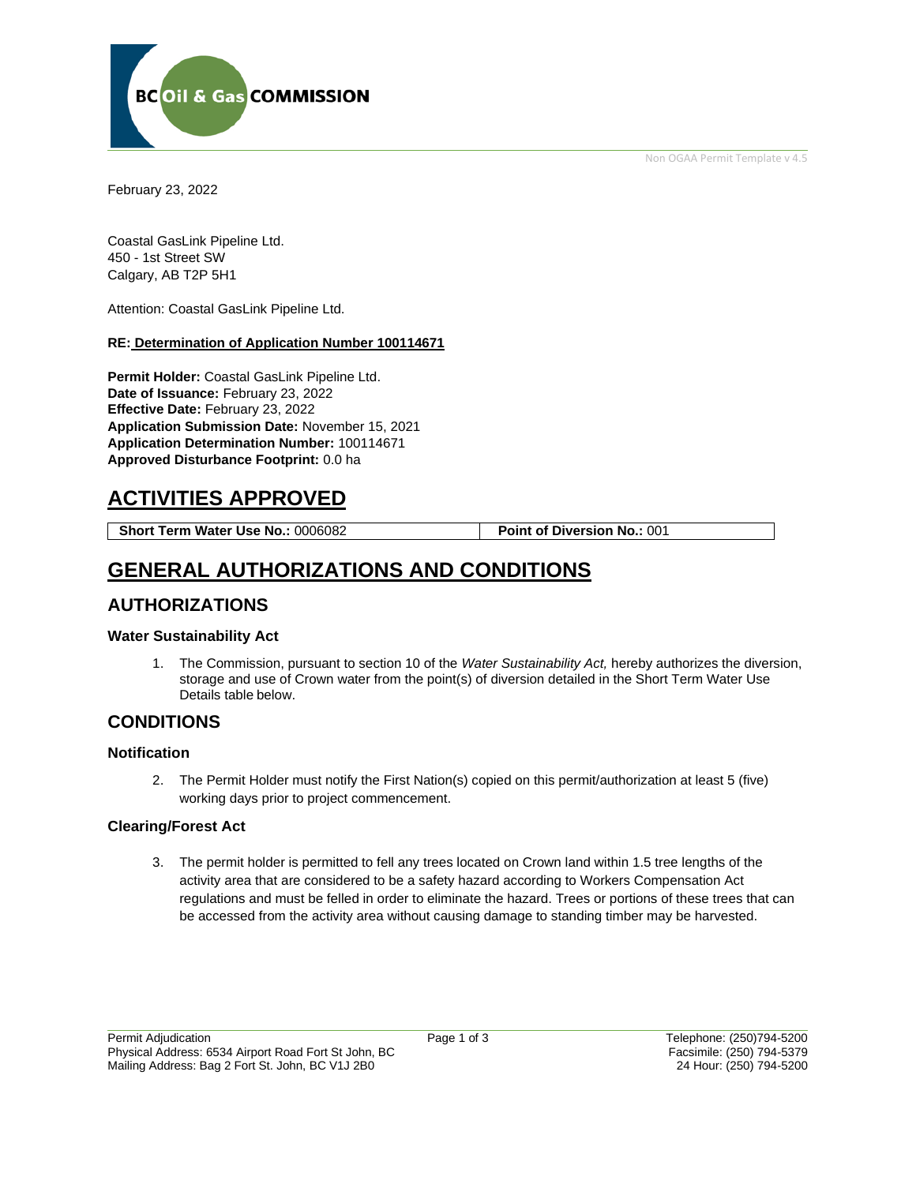Non OGAA Permit Template v 4.5



February 23, 2022

Coastal GasLink Pipeline Ltd. 450 - 1st Street SW Calgary, AB T2P 5H1

Attention: Coastal GasLink Pipeline Ltd.

#### **RE: Determination of Application Number 100114671**

**Permit Holder:** Coastal GasLink Pipeline Ltd. **Date of Issuance:** February 23, 2022 **Effective Date:** February 23, 2022 **Application Submission Date:** November 15, 2021 **Application Determination Number:** 100114671 **Approved Disturbance Footprint:** 0.0 ha

# **ACTIVITIES APPROVED**

**Short Term Water Use No.:** 0006082 **Point of Diversion No.:** 001

# **GENERAL AUTHORIZATIONS AND CONDITIONS**

### **AUTHORIZATIONS**

#### **Water Sustainability Act**

1. The Commission, pursuant to section 10 of the *Water Sustainability Act,* hereby authorizes the diversion, storage and use of Crown water from the point(s) of diversion detailed in the Short Term Water Use Details table below.

### **CONDITIONS**

#### **Notification**

2. The Permit Holder must notify the First Nation(s) copied on this permit/authorization at least 5 (five) working days prior to project commencement.

#### **Clearing/Forest Act**

3. The permit holder is permitted to fell any trees located on Crown land within 1.5 tree lengths of the activity area that are considered to be a safety hazard according to Workers Compensation Act regulations and must be felled in order to eliminate the hazard. Trees or portions of these trees that can be accessed from the activity area without causing damage to standing timber may be harvested.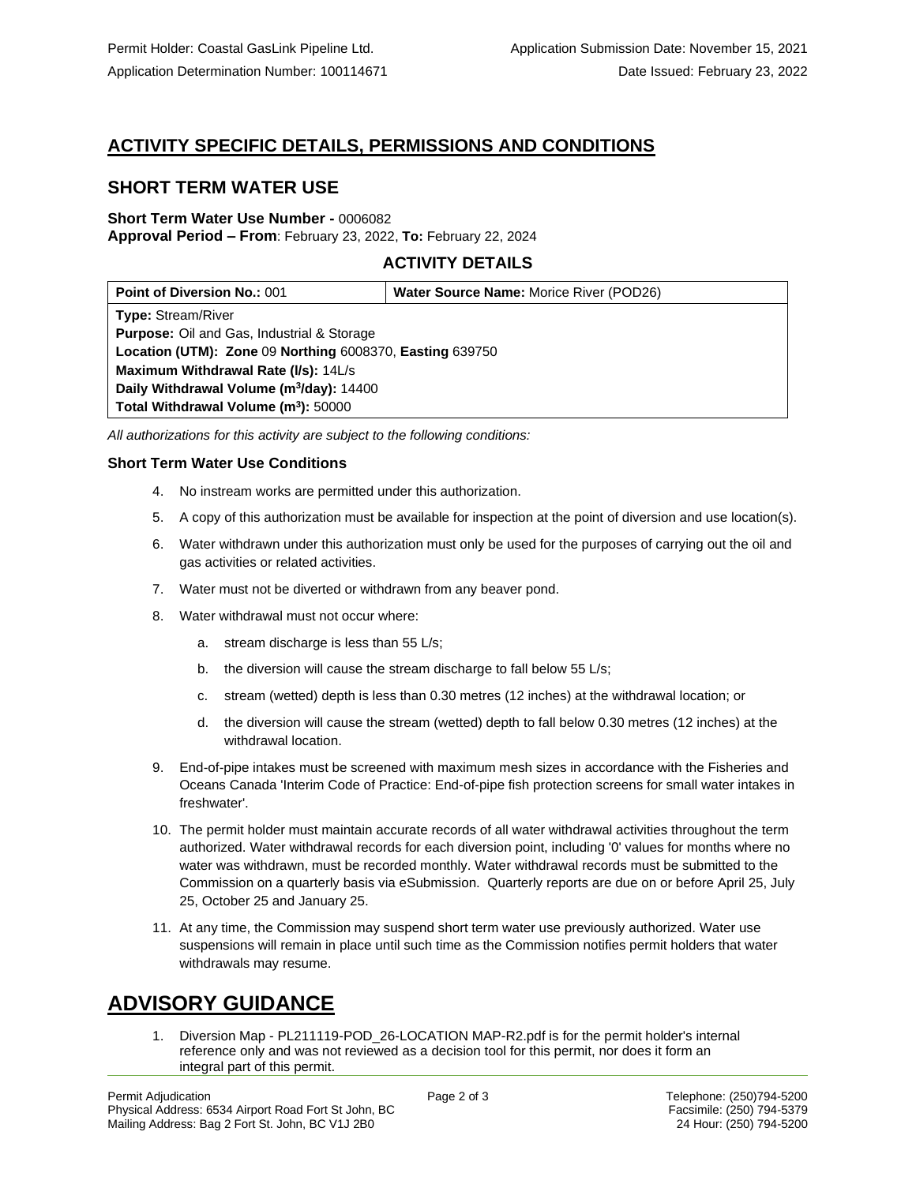## **ACTIVITY SPECIFIC DETAILS, PERMISSIONS AND CONDITIONS**

## **SHORT TERM WATER USE**

#### **Short Term Water Use Number -** 0006082 **Approval Period – From**: February 23, 2022, **To:** February 22, 2024

### **ACTIVITY DETAILS**

| <b>Point of Diversion No.: 001</b>                       | <b>Water Source Name: Morice River (POD26)</b> |
|----------------------------------------------------------|------------------------------------------------|
| <b>Type: Stream/River</b>                                |                                                |
| <b>Purpose:</b> Oil and Gas, Industrial & Storage        |                                                |
| Location (UTM): Zone 09 Northing 6008370, Easting 639750 |                                                |
| Maximum Withdrawal Rate (I/s): 14L/s                     |                                                |
| Daily Withdrawal Volume (m <sup>3</sup> /day): 14400     |                                                |
| Total Withdrawal Volume (m <sup>3</sup> ): 50000         |                                                |

*All authorizations for this activity are subject to the following conditions:*

#### **Short Term Water Use Conditions**

- 4. No instream works are permitted under this authorization.
- 5. A copy of this authorization must be available for inspection at the point of diversion and use location(s).
- 6. Water withdrawn under this authorization must only be used for the purposes of carrying out the oil and gas activities or related activities.
- 7. Water must not be diverted or withdrawn from any beaver pond.
- 8. Water withdrawal must not occur where:
	- a. stream discharge is less than 55 L/s;
	- b. the diversion will cause the stream discharge to fall below 55 L/s;
	- c. stream (wetted) depth is less than 0.30 metres (12 inches) at the withdrawal location; or
	- d. the diversion will cause the stream (wetted) depth to fall below 0.30 metres (12 inches) at the withdrawal location.
- 9. End-of-pipe intakes must be screened with maximum mesh sizes in accordance with the Fisheries and Oceans Canada 'Interim Code of Practice: End-of-pipe fish protection screens for small water intakes in freshwater'.
- 10. The permit holder must maintain accurate records of all water withdrawal activities throughout the term authorized. Water withdrawal records for each diversion point, including '0' values for months where no water was withdrawn, must be recorded monthly. Water withdrawal records must be submitted to the Commission on a quarterly basis via eSubmission. Quarterly reports are due on or before April 25, July 25, October 25 and January 25.
- 11. At any time, the Commission may suspend short term water use previously authorized. Water use suspensions will remain in place until such time as the Commission notifies permit holders that water withdrawals may resume.

# **ADVISORY GUIDANCE**

1. Diversion Map - PL211119-POD\_26-LOCATION MAP-R2.pdf is for the permit holder's internal reference only and was not reviewed as a decision tool for this permit, nor does it form an integral part of this permit.